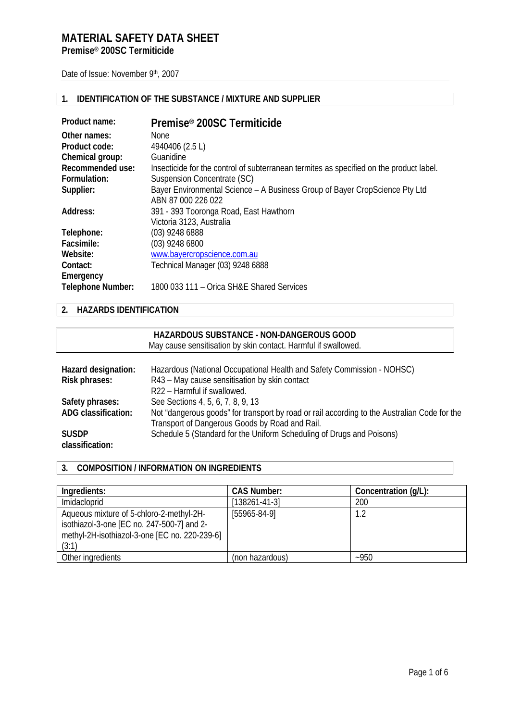# **MATERIAL SAFETY DATA SHEET**

**Premise® 200SC Termiticide** 

Date of Issue: November 9th, 2007

# **1. IDENTIFICATION OF THE SUBSTANCE / MIXTURE AND SUPPLIER**

| Product name:            | Premise <sup>®</sup> 200SC Termiticide                                                  |
|--------------------------|-----------------------------------------------------------------------------------------|
| Other names:             | None                                                                                    |
| Product code:            | 4940406 (2.5 L)                                                                         |
| Chemical group:          | Guanidine                                                                               |
| Recommended use:         | Insecticide for the control of subterranean termites as specified on the product label. |
| Formulation:             | Suspension Concentrate (SC)                                                             |
| Supplier:                | Bayer Environmental Science – A Business Group of Bayer CropScience Pty Ltd             |
|                          | ABN 87 000 226 022                                                                      |
| Address:                 | 391 - 393 Tooronga Road, East Hawthorn                                                  |
|                          | Victoria 3123, Australia                                                                |
| Telephone:               | (03) 9248 6888                                                                          |
| Facsimile:               | $(03)$ 9248 6800                                                                        |
| Website:                 | www.bayercropscience.com.au                                                             |
| Contact:                 | Technical Manager (03) 9248 6888                                                        |
| Emergency                |                                                                                         |
| <b>Telephone Number:</b> | 1800 033 111 - Orica SH&E Shared Services                                               |

# **2. HAZARDS IDENTIFICATION**

|                                 | HAZARDOUS SUBSTANCE - NON-DANGEROUS GOOD<br>May cause sensitisation by skin contact. Harmful if swallowed.                                     |
|---------------------------------|------------------------------------------------------------------------------------------------------------------------------------------------|
| Hazard designation:             | Hazardous (National Occupational Health and Safety Commission - NOHSC)                                                                         |
|                                 |                                                                                                                                                |
| Risk phrases:                   | R43 - May cause sensitisation by skin contact                                                                                                  |
|                                 | R22 - Harmful if swallowed.                                                                                                                    |
| Safety phrases:                 | See Sections 4, 5, 6, 7, 8, 9, 13                                                                                                              |
| ADG classification:             | Not "dangerous goods" for transport by road or rail according to the Australian Code for the<br>Transport of Dangerous Goods by Road and Rail. |
| <b>SUSDP</b><br>classification: | Schedule 5 (Standard for the Uniform Scheduling of Drugs and Poisons)                                                                          |

## **3. COMPOSITION / INFORMATION ON INGREDIENTS**

| Ingredients:                                                                                                                                     | <b>CAS Number:</b> | Concentration (g/L): |
|--------------------------------------------------------------------------------------------------------------------------------------------------|--------------------|----------------------|
| Imidacloprid                                                                                                                                     | $[138261-41-3]$    | 200                  |
| Aqueous mixture of 5-chloro-2-methyl-2H-<br>isothiazol-3-one [EC no. 247-500-7] and 2-<br>methyl-2H-isothiazol-3-one [EC no. 220-239-6]<br>(3:1) | $[55965-84-9]$     | 1.2                  |
| Other ingredients                                                                                                                                | (non hazardous)    | $-950$               |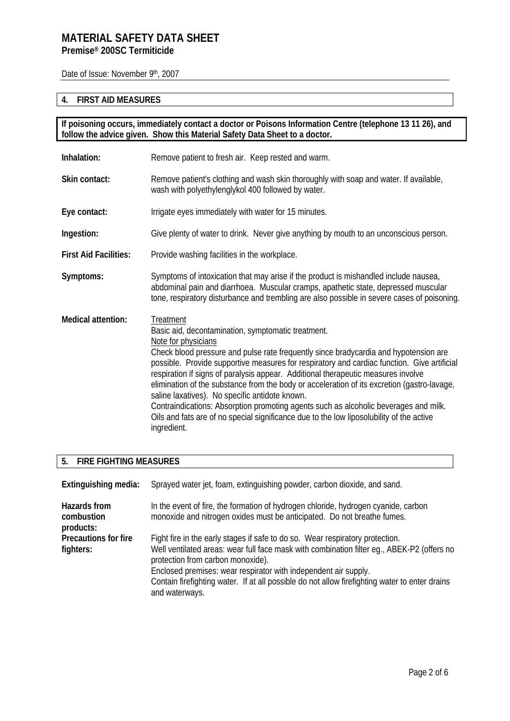Date of Issue: November 9th, 2007

# **4. FIRST AID MEASURES**

**If poisoning occurs, immediately contact a doctor or Poisons Information Centre (telephone 13 11 26), and follow the advice given. Show this Material Safety Data Sheet to a doctor.**

| Inhalation:                  | Remove patient to fresh air. Keep rested and warm.                                                                                                                                                                                                                                                                                                                                                                                                                                                                                                                                                                                                                                                                     |
|------------------------------|------------------------------------------------------------------------------------------------------------------------------------------------------------------------------------------------------------------------------------------------------------------------------------------------------------------------------------------------------------------------------------------------------------------------------------------------------------------------------------------------------------------------------------------------------------------------------------------------------------------------------------------------------------------------------------------------------------------------|
| Skin contact:                | Remove patient's clothing and wash skin thoroughly with soap and water. If available,<br>wash with polyethylenglykol 400 followed by water.                                                                                                                                                                                                                                                                                                                                                                                                                                                                                                                                                                            |
| Eye contact:                 | Irrigate eyes immediately with water for 15 minutes.                                                                                                                                                                                                                                                                                                                                                                                                                                                                                                                                                                                                                                                                   |
| Ingestion:                   | Give plenty of water to drink. Never give anything by mouth to an unconscious person.                                                                                                                                                                                                                                                                                                                                                                                                                                                                                                                                                                                                                                  |
| <b>First Aid Facilities:</b> | Provide washing facilities in the workplace.                                                                                                                                                                                                                                                                                                                                                                                                                                                                                                                                                                                                                                                                           |
| Symptoms:                    | Symptoms of intoxication that may arise if the product is mishandled include nausea,<br>abdominal pain and diarrhoea. Muscular cramps, apathetic state, depressed muscular<br>tone, respiratory disturbance and trembling are also possible in severe cases of poisoning.                                                                                                                                                                                                                                                                                                                                                                                                                                              |
| <b>Medical attention:</b>    | Treatment<br>Basic aid, decontamination, symptomatic treatment.<br>Note for physicians<br>Check blood pressure and pulse rate frequently since bradycardia and hypotension are<br>possible. Provide supportive measures for respiratory and cardiac function. Give artificial<br>respiration if signs of paralysis appear. Additional therapeutic measures involve<br>elimination of the substance from the body or acceleration of its excretion (gastro-lavage,<br>saline laxatives). No specific antidote known.<br>Contraindications: Absorption promoting agents such as alcoholic beverages and milk.<br>Oils and fats are of no special significance due to the low liposolubility of the active<br>ingredient. |

# **5. FIRE FIGHTING MEASURES**

| Extinguishing media:                    | Sprayed water jet, foam, extinguishing powder, carbon dioxide, and sand.                                                                                                                                                                                                                                                                                                                                |
|-----------------------------------------|---------------------------------------------------------------------------------------------------------------------------------------------------------------------------------------------------------------------------------------------------------------------------------------------------------------------------------------------------------------------------------------------------------|
| Hazards from<br>combustion<br>products: | In the event of fire, the formation of hydrogen chloride, hydrogen cyanide, carbon<br>monoxide and nitrogen oxides must be anticipated. Do not breathe fumes.                                                                                                                                                                                                                                           |
| Precautions for fire<br>fighters:       | Fight fire in the early stages if safe to do so. Wear respiratory protection.<br>Well ventilated areas: wear full face mask with combination filter eq., ABEK-P2 (offers no<br>protection from carbon monoxide).<br>Enclosed premises: wear respirator with independent air supply.<br>Contain firefighting water. If at all possible do not allow firefighting water to enter drains<br>and waterways. |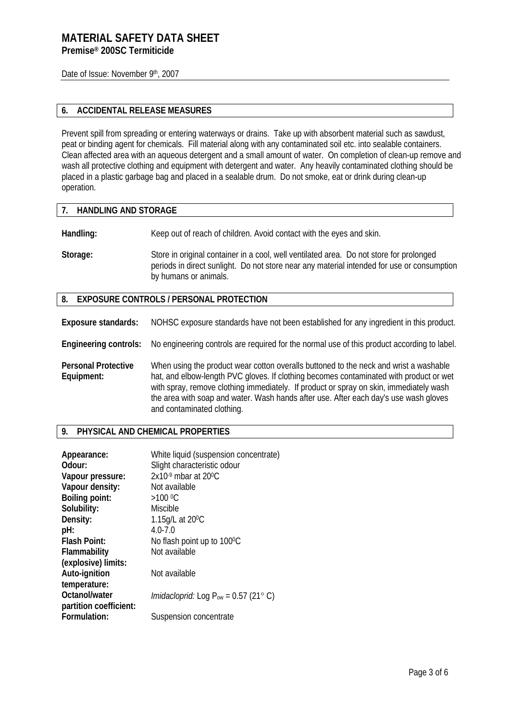Date of Issue: November 9th, 2007

## **6. ACCIDENTAL RELEASE MEASURES**

Prevent spill from spreading or entering waterways or drains. Take up with absorbent material such as sawdust, peat or binding agent for chemicals. Fill material along with any contaminated soil etc. into sealable containers. Clean affected area with an aqueous detergent and a small amount of water. On completion of clean-up remove and wash all protective clothing and equipment with detergent and water. Any heavily contaminated clothing should be placed in a plastic garbage bag and placed in a sealable drum. Do not smoke, eat or drink during clean-up operation.

### **7. HANDLING AND STORAGE**

**Handling:** Keep out of reach of children. Avoid contact with the eyes and skin.

**Storage:** Store in original container in a cool, well ventilated area. Do not store for prolonged periods in direct sunlight. Do not store near any material intended for use or consumption by humans or animals.

### **8. EXPOSURE CONTROLS / PERSONAL PROTECTION**

**Exposure standards:** NOHSC exposure standards have not been established for any ingredient in this product.

**Engineering controls:** No engineering controls are required for the normal use of this product according to label.

**Personal Protective Equipment:**  When using the product wear cotton overalls buttoned to the neck and wrist a washable hat, and elbow-length PVC gloves. If clothing becomes contaminated with product or wet with spray, remove clothing immediately. If product or spray on skin, immediately wash the area with soap and water. Wash hands after use. After each day's use wash gloves and contaminated clothing.

### **9. PHYSICAL AND CHEMICAL PROPERTIES**

| Appearance:            | White liquid (suspension concentrate)            |
|------------------------|--------------------------------------------------|
| Odour:                 | Slight characteristic odour                      |
| Vapour pressure:       | $2x10-9$ mbar at 20 <sup>o</sup> C               |
| Vapour density:        | Not available                                    |
| <b>Boiling point:</b>  | $>100^{\circ}$ C                                 |
| Solubility:            | Miscible                                         |
| Density:               | 1.15g/L at 20 <sup>o</sup> C                     |
| pH:                    | $4.0 - 7.0$                                      |
| <b>Flash Point:</b>    | No flash point up to 100°C                       |
| Flammability           | Not available                                    |
| (explosive) limits:    |                                                  |
| Auto-ignition          | Not available                                    |
| temperature:           |                                                  |
| Octanol/water          | <i>Imidacloprid:</i> Log $P_{ow}$ = 0.57 (21° C) |
| partition coefficient: |                                                  |
| Formulation:           | Suspension concentrate                           |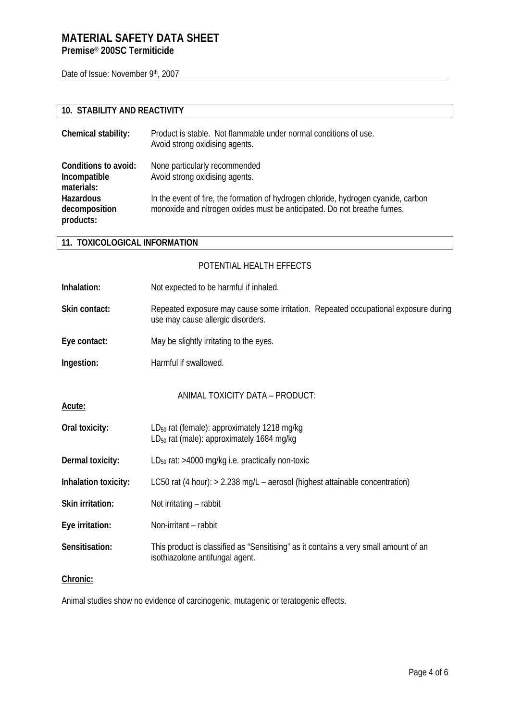# **MATERIAL SAFETY DATA SHEET**

**Premise® 200SC Termiticide** 

Date of Issue: November 9th, 2007

### **10. STABILITY AND REACTIVITY**

| Chemical stability:                                | Product is stable. Not flammable under normal conditions of use.<br>Avoid strong oxidising agents.                                                            |
|----------------------------------------------------|---------------------------------------------------------------------------------------------------------------------------------------------------------------|
| Conditions to avoid:<br>Incompatible<br>materials: | None particularly recommended<br>Avoid strong oxidising agents.                                                                                               |
| Hazardous<br>decomposition<br>products:            | In the event of fire, the formation of hydrogen chloride, hydrogen cyanide, carbon<br>monoxide and nitrogen oxides must be anticipated. Do not breathe fumes. |

### **11. TOXICOLOGICAL INFORMATION**

- POTENTIAL HEALTH EFFECTS
- **Inhalation:** Not expected to be harmful if inhaled.
- Skin contact: Repeated exposure may cause some irritation. Repeated occupational exposure during use may cause allergic disorders.
- **Eye contact:** May be slightly irritating to the eyes.
- **Ingestion:** Harmful if swallowed.

ANIMAL TOXICITY DATA – PRODUCT:

- **Acute:**
- **Oral toxicity:** LD<sub>50</sub> rat (female): approximately 1218 mg/kg  $LD_{50}$  rat (male): approximately 1684 mg/kg
- **Dermal toxicity:** LD<sub>50</sub> rat: >4000 mg/kg i.e. practically non-toxic
- **Inhalation toxicity:** LC50 rat (4 hour): > 2.238 mg/L aerosol (highest attainable concentration)
- **Skin irritation:** Not irritating rabbit
- **Eye irritation:** Non-irritant rabbit
- **Sensitisation:** This product is classified as "Sensitising" as it contains a very small amount of an isothiazolone antifungal agent.

### **Chronic:**

Animal studies show no evidence of carcinogenic, mutagenic or teratogenic effects.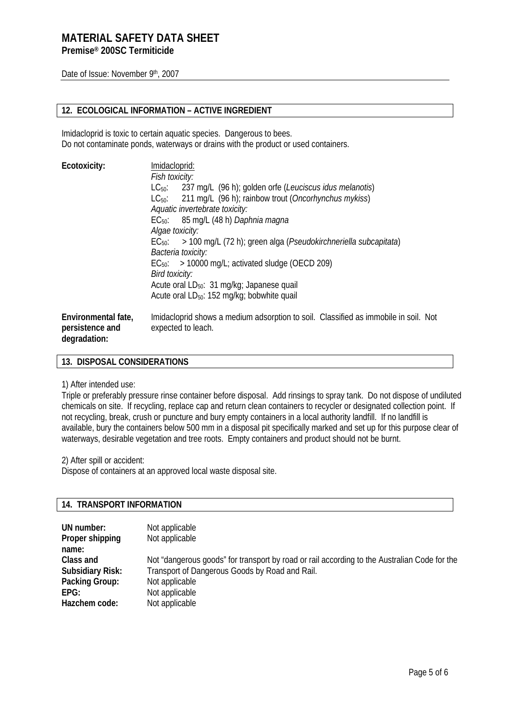Date of Issue: November 9th, 2007

## **12. ECOLOGICAL INFORMATION – ACTIVE INGREDIENT**

Imidacloprid is toxic to certain aquatic species. Dangerous to bees. Do not contaminate ponds, waterways or drains with the product or used containers.

| Imidacloprid:<br>Fish toxicity:                                                                           |
|-----------------------------------------------------------------------------------------------------------|
| 237 mg/L (96 h); golden orfe (Leuciscus idus melanotis)<br>$LC_{50}$ :                                    |
| $LC_{50}$ : 211 mg/L (96 h); rainbow trout ( <i>Oncorhynchus mykiss</i> )                                 |
| Aquatic invertebrate toxicity:                                                                            |
| $EC_{50}$ : 85 mg/L (48 h) <i>Daphnia magna</i>                                                           |
| Algae toxicity:                                                                                           |
| $EC_{50}$ : > 100 mg/L (72 h); green alga ( <i>Pseudokirchneriella subcapitata</i> )                      |
| Bacteria toxicity:                                                                                        |
| $EC_{50}$ : > 10000 mg/L; activated sludge (OECD 209)                                                     |
| Bird toxicity:                                                                                            |
| Acute oral LD <sub>50</sub> : 31 mg/kg; Japanese quail                                                    |
| Acute oral LD <sub>50</sub> : 152 mg/kg; bobwhite quail                                                   |
| Imidacloprid shows a medium adsorption to soil. Classified as immobile in soil. Not<br>expected to leach. |
|                                                                                                           |

### **13. DISPOSAL CONSIDERATIONS**

1) After intended use:

Triple or preferably pressure rinse container before disposal. Add rinsings to spray tank. Do not dispose of undiluted chemicals on site. If recycling, replace cap and return clean containers to recycler or designated collection point. If not recycling, break, crush or puncture and bury empty containers in a local authority landfill. If no landfill is available, bury the containers below 500 mm in a disposal pit specifically marked and set up for this purpose clear of waterways, desirable vegetation and tree roots. Empty containers and product should not be burnt.

2) After spill or accident:

Dispose of containers at an approved local waste disposal site.

### **14. TRANSPORT INFORMATION**

| UN number:              | Not applicable                                                                               |
|-------------------------|----------------------------------------------------------------------------------------------|
| Proper shipping         | Not applicable                                                                               |
| name:                   |                                                                                              |
| Class and               | Not "dangerous goods" for transport by road or rail according to the Australian Code for the |
| <b>Subsidiary Risk:</b> | Transport of Dangerous Goods by Road and Rail.                                               |
| Packing Group:          | Not applicable                                                                               |
| EPG:                    | Not applicable                                                                               |
| Hazchem code:           | Not applicable                                                                               |